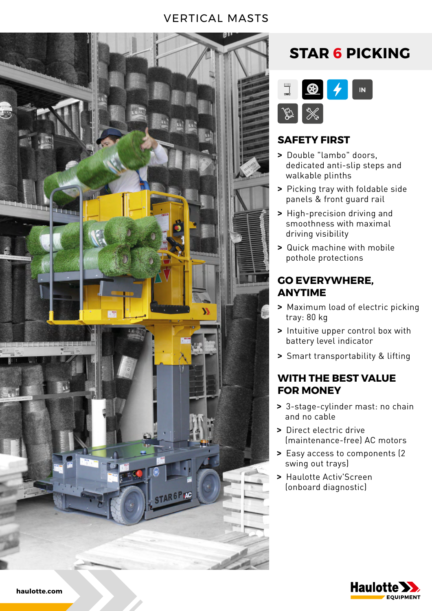### VERTICAL MASTS



## **STAR 6 PICKING**



### **SAFETY FIRST**

- **>** Double "lambo" doors, dedicated anti-slip steps and walkable plinths
- **>** Picking tray with foldable side panels & front guard rail
- **>** High-precision driving and smoothness with maximal driving visibility
- **>** Quick machine with mobile pothole protections

### **GO EVERYWHERE, ANYTIME**

- **>** Maximum load of electric picking tray: 80 kg
- **>** Intuitive upper control box with battery level indicator
- **>** Smart transportability & lifting

### **WITH THE BEST VALUE FOR MONEY**

- **>** 3-stage-cylinder mast: no chain and no cable
- **>** Direct electric drive (maintenance-free) AC motors
- **>** Easy access to components (2 swing out trays)
- **>** Haulotte Activ'Screen (onboard diagnostic)